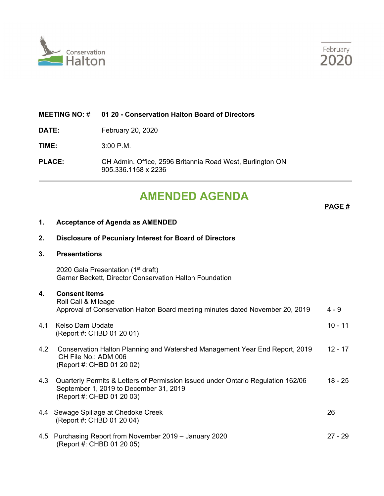



#### **MEETING NO:** # **01 20 - Conservation Halton Board of Directors**

**DATE:** February 20, 2020

**TIME:** 3:00 P.M.

**PLACE:** CH Admin. Office, 2596 Britannia Road West, Burlington ON 905.336.1158 x 2236

# **AMENDED AGENDA**

**PAGE #**

#### **1. Acceptance of Agenda as AMENDED**

## **2. Disclosure of Pecuniary Interest for Board of Directors 3. Presentations**

2020 Gala Presentation (1<sup>st</sup> draft) Garner Beckett, Director Conservation Halton Foundation

### **4. Consent Items**

| --------------                                                                |       |
|-------------------------------------------------------------------------------|-------|
| Roll Call & Mileage                                                           |       |
| Approval of Conservation Halton Board meeting minutes dated November 20, 2019 | 4 - 9 |
|                                                                               |       |

#### 4.1 Kelso Dam Update 10 - 11 November 2014 10 - 11 November 2014 10 - 11 November 2014 10 - 11 (Report #: CHBD 01 20 01)

- 4.2 Conservation Halton Planning and Watershed Management Year End Report, 2019 12 17 CH File No.: ADM 006 (Report #: CHBD 01 20 02)
- 4.3 Quarterly Permits & Letters of Permission issued under Ontario Regulation 162/06 18 25 September 1, 2019 to December 31, 2019 (Report #: CHBD 01 20 03)
- 4.4 Sewage Spillage at Chedoke Creek 26 (Report #: CHBD 01 20 04)
- 4.5 Purchasing Report from November 2019 January 2020 27 29 (Report #: CHBD 01 20 05)